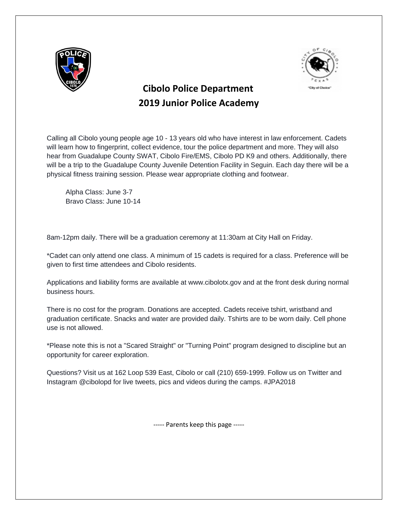



## **Cibolo Police Department 2019 Junior Police Academy**

Calling all Cibolo young people age 10 - 13 years old who have interest in law enforcement. Cadets will learn how to fingerprint, collect evidence, tour the police department and more. They will also hear from Guadalupe County SWAT, Cibolo Fire/EMS, Cibolo PD K9 and others. Additionally, there will be a trip to the Guadalupe County Juvenile Detention Facility in Seguin. Each day there will be a physical fitness training session. Please wear appropriate clothing and footwear.

 Alpha Class: June 3-7 Bravo Class: June 10-14

8am-12pm daily. There will be a graduation ceremony at 11:30am at City Hall on Friday.

\*Cadet can only attend one class. A minimum of 15 cadets is required for a class. Preference will be given to first time attendees and Cibolo residents.

Applications and liability forms are available at www.cibolotx.gov and at the front desk during normal business hours.

There is no cost for the program. Donations are accepted. Cadets receive tshirt, wristband and graduation certificate. Snacks and water are provided daily. Tshirts are to be worn daily. Cell phone use is not allowed.

\*Please note this is not a "Scared Straight" or "Turning Point" program designed to discipline but an opportunity for career exploration.

Questions? Visit us at 162 Loop 539 East, Cibolo or call (210) 659-1999. Follow us on Twitter and Instagram @cibolopd for live tweets, pics and videos during the camps. #JPA2018

----- Parents keep this page -----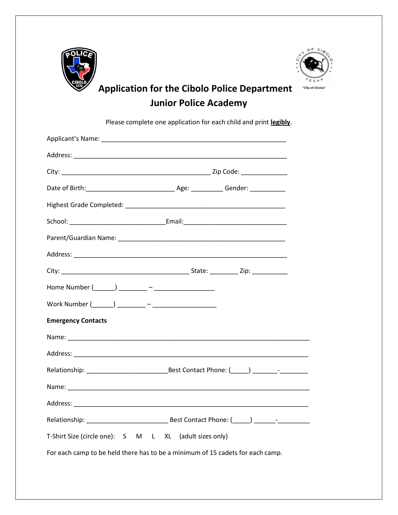



# **Application for the Cibolo Police Department Junior Police Academy**

Please complete one application for each child and print **legibly**.

| <b>Emergency Contacts</b>                                                      |  |  |
|--------------------------------------------------------------------------------|--|--|
|                                                                                |  |  |
|                                                                                |  |  |
|                                                                                |  |  |
|                                                                                |  |  |
|                                                                                |  |  |
|                                                                                |  |  |
| T-Shirt Size (circle one): S M L XL (adult sizes only)                         |  |  |
| For each camp to be held there has to be a minimum of 15 cadets for each camp. |  |  |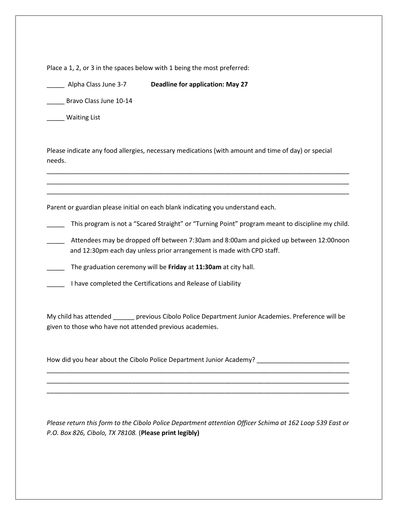Place a 1, 2, or 3 in the spaces below with 1 being the most preferred:

\_\_\_\_\_ Alpha Class June 3-7 **Deadline for application: May 27**

\_\_\_\_\_ Bravo Class June 10-14

\_\_\_\_\_ Waiting List

Please indicate any food allergies, necessary medications (with amount and time of day) or special needs.

Parent or guardian please initial on each blank indicating you understand each.

\_\_\_\_\_ This program is not a "Scared Straight" or "Turning Point" program meant to discipline my child.

\_\_\_\_\_\_\_\_\_\_\_\_\_\_\_\_\_\_\_\_\_\_\_\_\_\_\_\_\_\_\_\_\_\_\_\_\_\_\_\_\_\_\_\_\_\_\_\_\_\_\_\_\_\_\_\_\_\_\_\_\_\_\_\_\_\_\_\_\_\_\_\_\_\_\_\_\_\_\_\_\_\_\_\_\_ \_\_\_\_\_\_\_\_\_\_\_\_\_\_\_\_\_\_\_\_\_\_\_\_\_\_\_\_\_\_\_\_\_\_\_\_\_\_\_\_\_\_\_\_\_\_\_\_\_\_\_\_\_\_\_\_\_\_\_\_\_\_\_\_\_\_\_\_\_\_\_\_\_\_\_\_\_\_\_\_\_\_\_\_\_ \_\_\_\_\_\_\_\_\_\_\_\_\_\_\_\_\_\_\_\_\_\_\_\_\_\_\_\_\_\_\_\_\_\_\_\_\_\_\_\_\_\_\_\_\_\_\_\_\_\_\_\_\_\_\_\_\_\_\_\_\_\_\_\_\_\_\_\_\_\_\_\_\_\_\_\_\_\_\_\_\_\_\_\_\_

\_\_\_\_\_ Attendees may be dropped off between 7:30am and 8:00am and picked up between 12:00noon and 12:30pm each day unless prior arrangement is made with CPD staff.

\_\_\_\_\_ The graduation ceremony will be **Friday** at **11:30am** at city hall.

\_\_\_\_\_ I have completed the Certifications and Release of Liability

My child has attended \_\_\_\_\_\_ previous Cibolo Police Department Junior Academies. Preference will be given to those who have not attended previous academies.

\_\_\_\_\_\_\_\_\_\_\_\_\_\_\_\_\_\_\_\_\_\_\_\_\_\_\_\_\_\_\_\_\_\_\_\_\_\_\_\_\_\_\_\_\_\_\_\_\_\_\_\_\_\_\_\_\_\_\_\_\_\_\_\_\_\_\_\_\_\_\_\_\_\_\_\_\_\_\_\_\_\_\_\_\_ \_\_\_\_\_\_\_\_\_\_\_\_\_\_\_\_\_\_\_\_\_\_\_\_\_\_\_\_\_\_\_\_\_\_\_\_\_\_\_\_\_\_\_\_\_\_\_\_\_\_\_\_\_\_\_\_\_\_\_\_\_\_\_\_\_\_\_\_\_\_\_\_\_\_\_\_\_\_\_\_\_\_\_\_\_ \_\_\_\_\_\_\_\_\_\_\_\_\_\_\_\_\_\_\_\_\_\_\_\_\_\_\_\_\_\_\_\_\_\_\_\_\_\_\_\_\_\_\_\_\_\_\_\_\_\_\_\_\_\_\_\_\_\_\_\_\_\_\_\_\_\_\_\_\_\_\_\_\_\_\_\_\_\_\_\_\_\_\_\_\_

How did you hear about the Cibolo Police Department Junior Academy?

*Please return this form to the Cibolo Police Department attention Officer Schima at 162 Loop 539 East or P.O. Box 826, Cibolo, TX 78108.* (**Please print legibly)**